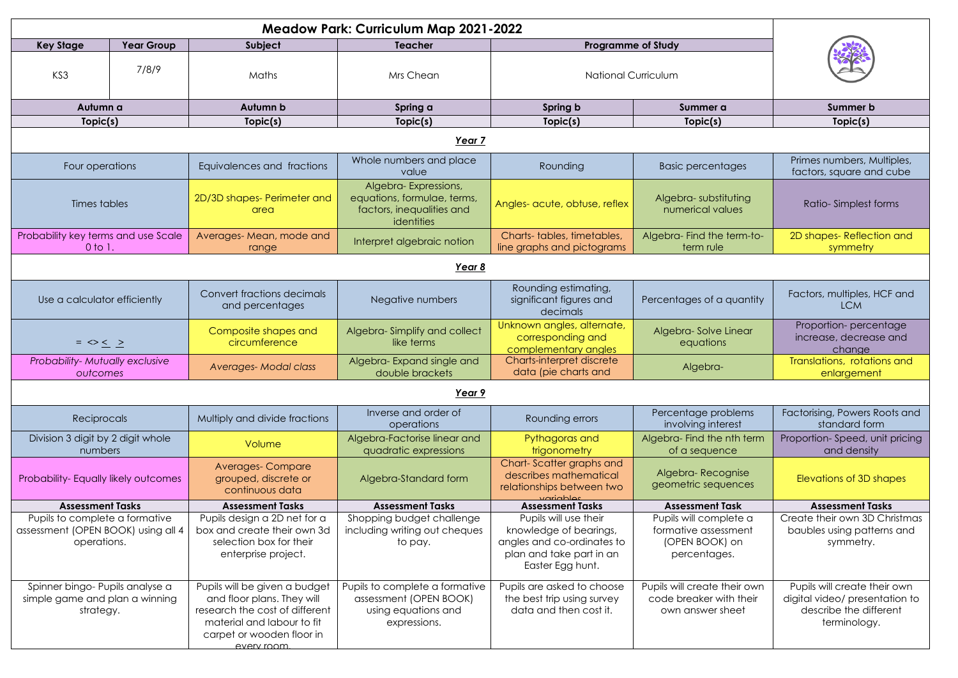| <b>Key Stage</b><br><b>Year Group</b>                                               |       | Subject                                                                                                                                                                 | <b>Teacher</b>                                                                                  | <b>Programme of Study</b>                                                                                                     |                                                                                  |                                                                                                          |  |  |
|-------------------------------------------------------------------------------------|-------|-------------------------------------------------------------------------------------------------------------------------------------------------------------------------|-------------------------------------------------------------------------------------------------|-------------------------------------------------------------------------------------------------------------------------------|----------------------------------------------------------------------------------|----------------------------------------------------------------------------------------------------------|--|--|
| KS3                                                                                 | 7/8/9 | Maths                                                                                                                                                                   | Mrs Chean                                                                                       | <b>National Curriculum</b>                                                                                                    |                                                                                  |                                                                                                          |  |  |
| Autumn a                                                                            |       | Autumn b                                                                                                                                                                | Spring a                                                                                        | Spring b                                                                                                                      | Summer a                                                                         | <b>Summer b</b>                                                                                          |  |  |
| Topic(s)                                                                            |       | Topic(s)                                                                                                                                                                | Topic(s)                                                                                        | Topic(s)                                                                                                                      | Topic(s)                                                                         | Topic(s)                                                                                                 |  |  |
| Year 7                                                                              |       |                                                                                                                                                                         |                                                                                                 |                                                                                                                               |                                                                                  |                                                                                                          |  |  |
| Four operations                                                                     |       | Equivalences and fractions                                                                                                                                              | Whole numbers and place<br>value                                                                | Rounding                                                                                                                      | <b>Basic percentages</b>                                                         | Primes numbers, Multiples,<br>factors, square and cube                                                   |  |  |
| Times tables                                                                        |       | 2D/3D shapes- Perimeter and<br>area                                                                                                                                     | Algebra-Expressions,<br>equations, formulae, terms,<br>factors, inequalities and<br>identities  | Angles- acute, obtuse, reflex                                                                                                 | Algebra-substituting<br>numerical values                                         | Ratio-Simplest forms                                                                                     |  |  |
| Probability key terms and use Scale<br>$0$ to $1$ .                                 |       | Averages-Mean, mode and<br>range                                                                                                                                        | Interpret algebraic notion                                                                      | Charts-tables, timetables,<br>line graphs and pictograms                                                                      | Algebra-Find the term-to-<br>term rule                                           | 2D shapes-Reflection and<br>symmetry                                                                     |  |  |
| Year 8                                                                              |       |                                                                                                                                                                         |                                                                                                 |                                                                                                                               |                                                                                  |                                                                                                          |  |  |
| Use a calculator efficiently                                                        |       | Convert fractions decimals<br>and percentages                                                                                                                           | Negative numbers                                                                                | Rounding estimating,<br>significant figures and<br>decimals                                                                   | Percentages of a quantity                                                        | Factors, multiples, HCF and<br><b>LCM</b>                                                                |  |  |
| $=$ $\diamond$ $\leq$ $\geq$                                                        |       | Composite shapes and<br>circumference                                                                                                                                   | Algebra-Simplify and collect<br>like terms                                                      | Unknown angles, alternate,<br>corresponding and<br>complementary angles                                                       | Algebra-Solve Linear<br>equations                                                | Proportion-percentage<br>increase, decrease and<br>change                                                |  |  |
| Probability-Mutually exclusive<br>outcomes                                          |       | <b>Averages-Modal class</b>                                                                                                                                             | Algebra-Expand single and<br>double brackets                                                    | Charts-interpret discrete<br>data (pie charts and                                                                             | Algebra-                                                                         | Translations, rotations and<br>enlargement                                                               |  |  |
| Year 9                                                                              |       |                                                                                                                                                                         |                                                                                                 |                                                                                                                               |                                                                                  |                                                                                                          |  |  |
| Reciprocals                                                                         |       | Multiply and divide fractions                                                                                                                                           | Inverse and order of<br>operations                                                              | Rounding errors                                                                                                               | Percentage problems<br>involving interest                                        | Factorising, Powers Roots and<br>standard form                                                           |  |  |
| Division 3 digit by 2 digit whole<br>numbers                                        |       | Volume                                                                                                                                                                  | Algebra-Factorise linear and<br>quadratic expressions                                           | Pythagoras and<br>trigonometry                                                                                                | Algebra-Find the nth term<br>of a sequence                                       | Proportion-Speed, unit pricing<br>and density                                                            |  |  |
| Probability-Equally likely outcomes                                                 |       | <b>Averages-Compare</b><br>grouped, discrete or<br>continuous data                                                                                                      | Algebra-Standard form                                                                           | Chart-Scatter graphs and<br>describes mathematical<br>relationships between two<br>variables                                  | Algebra-Recognise<br>geometric sequences                                         | Elevations of 3D shapes                                                                                  |  |  |
| <b>Assessment Tasks</b>                                                             |       | <b>Assessment Tasks</b>                                                                                                                                                 | <b>Assessment Tasks</b>                                                                         | <b>Assessment Tasks</b>                                                                                                       | <b>Assessment Task</b>                                                           | <b>Assessment Tasks</b>                                                                                  |  |  |
| Pupils to complete a formative<br>assessment (OPEN BOOK) using all 4<br>operations. |       | Pupils design a 2D net for a<br>box and create their own 3d<br>selection box for their<br>enterprise project.                                                           | Shopping budget challenge<br>including writing out cheques<br>to pay.                           | Pupils will use their<br>knowledge of bearings,<br>angles and co-ordinates to<br>plan and take part in an<br>Easter Egg hunt. | Pupils will complete a<br>formative assessment<br>(OPEN BOOK) on<br>percentages. | Create their own 3D Christmas<br>baubles using patterns and<br>symmetry.                                 |  |  |
| Spinner bingo- Pupils analyse a<br>simple game and plan a winning<br>strategy.      |       | Pupils will be given a budget<br>and floor plans. They will<br>research the cost of different<br>material and labour to fit<br>carpet or wooden floor in<br>every room. | Pupils to complete a formative<br>assessment (OPEN BOOK)<br>using equations and<br>expressions. | Pupils are asked to choose<br>the best trip using survey<br>data and then cost it.                                            | Pupils will create their own<br>code breaker with their<br>own answer sheet      | Pupils will create their own<br>digital video/ presentation to<br>describe the different<br>terminology. |  |  |